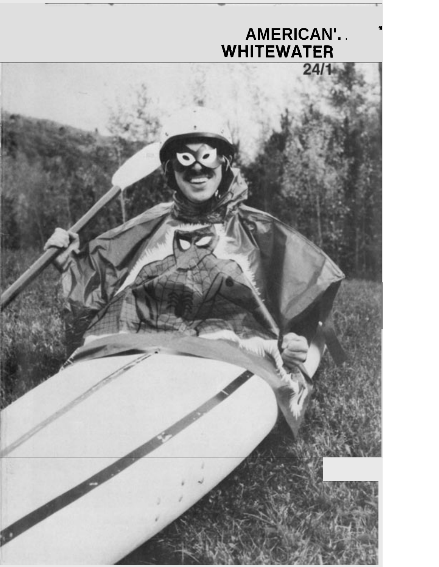### **AMERICAN'.** . **il WHITEWATER**

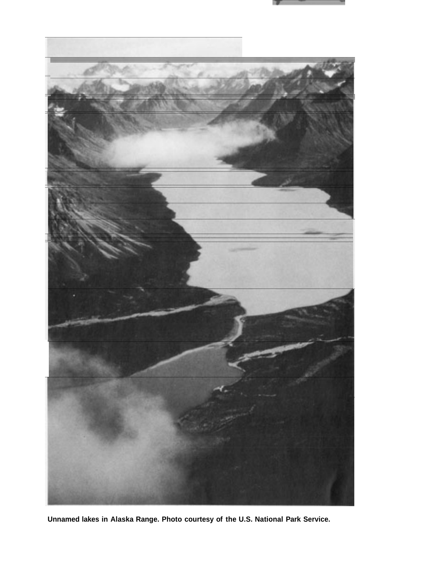



**Unnamed lakes in Alaska Range. Photo courtesy of the U.S. National Park Service.**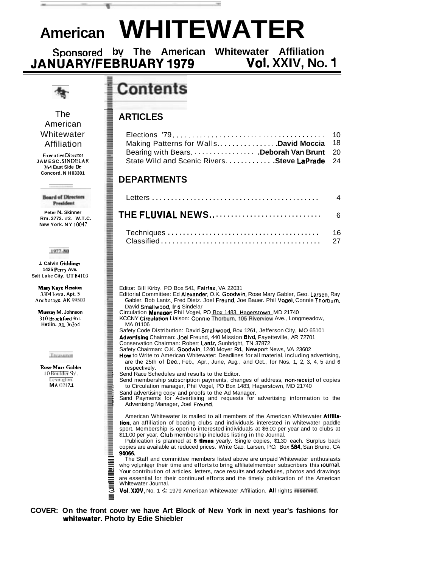### **American WHITEWATER**

Sponsored by The American Whitewater Affiliation<br>**IUARY/FEBRUARY 1979 Vol.** XXIV, No. 1 **JANUARY/FEBRUARY 1979** 

₩



#### The American Whitewater Affiliation

**ExecutiveDirector JAMESC. SfNDELAR 264 East Side** h. **Concord. NH 03301** 

> **Board of Directors President**

**Peter N. Skinner Rm. 3772. #2. W.T.C. New York. NY 10047** 

1977-80

**J. Calvin Giddings 1425** Perrv **Ave. Salt Lake City. UT 84103** 

**Mary Kqve Hasion 3,104 Iowa. Apt.** *5*  Anchorage. **AK 99503**  -

**Munay M. Johnson 310 Brockford Rd. Hetlin. AL 36264** 

Treasurer

**Rose Mary Gahlct**  I0 **hwldcr Kd**  Lexington. **MA 021 7.1** 

### **Contents**

#### **ARTICLES**

| Making Patterns for WallsDavid Moccia 18       |  |
|------------------------------------------------|--|
| Bearing with Bears. Deborah Van Brunt 20       |  |
| State Wild and Scenic Rivers. Steve LaPrade 24 |  |

#### **DEPARTMENTS**

|  |  |  | Editor: Bill Kirby. PO Box 541, Fairfax, VA 22031 |  |
|--|--|--|---------------------------------------------------|--|
|  |  |  |                                                   |  |

- Editorial Committee: Ed Alexander. O.K. Goodwin. Rose Mary Gabler, Geo. Larsen, Ray Gabler, Bob Lantz. Fred Dietz. Joel **Freund.** Joe Bauer. Phil **Vogel, C**onnie T**horburn.**<br>David **Smallwood, Iris** Sindelar
- Circulation Manaaer: Phil Voaei. PO Box 1483. Haaerstown. MD 21740
- KCCNY Circulation Liaison: Connie Thorburn, 105 Riverview Ave., Longmeadow, MA 01106
- Safety Code Distribution: David Smallwood, Box 1261, Jefferson City, MO 65101
- Advertising Chairman: Joel Freund, 440 Mission Blvd, Fayetteville, AR 72701
- Conservation Chairman: Robert Lantz, Sunbright, TN 37872
- Safety Chairman: O.K. Goodwin, 1240 Moyer Rd., Newport News, VA 23602 How to Write to American Whitewater: Deadlines for all material, including advertising,
- are the 25th of Dec., Feb., Apr., June, Aug., and Oct., for Nos. 1, 2, 3, 4, 5 and 6 respectively.
- Send Race Schedules and results to the Editor.
- Send membership subscription payments, changes of address, non-receipt of copies to Circulation manager, Phil Vogel, PO Box 1483, Hagerstown, MD 21740<br>Sand advertising copy and proofs to the Ad Manager.
- 
- Sand Payments for Advertising and requests for advertising information to the Advertising Manager, Joel Freund.

American Whitewater is mailed to all members of the American Whitewater Affiliation, an affiliation of boating clubs and individuals interested in whitewater paddle sport. Membership is open to interested individuals at \$6.00 per year and to clubs at \$11.00 per year. Club membership includes listing in the Journal.

Publication is planned at **6** times yearly. Single copies, \$1.30 each. Surplus back copies are available at reduced prices. Write Gao. Larsen, P.O. Box **584.** San Bruno, CA **94066.** 

The Staff and committee members listed above are unpaid Whitewater enthusiasts who volunteer their time and efforts to brino affiliatelmember subscribers this journal. Your contribution of articles, letters, race results and schedules, photos and drawings are essential for their continued efforts and the timely publication of the American Whitewater Journal. are essential for their continued efforts and the timely publication of the American  $\overline{\overline{\overline{3}}}$ 

Vol. XXIV, No. 1 © 1979 American Whitewater Affiliation. All rights reserved.

#### **COVER: On the front cover we have Art Block of New York in next year's fashions for whitewater. Photo by Edie Shiebler**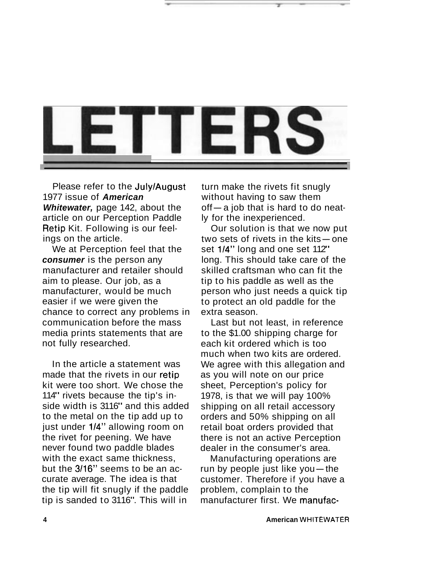

Please refer to the JulylAugust 1977 issue of **American Whitewater,** page 142, about the article on our Perception Paddle Retip Kit. Following is our feelings on the article.

We at Perception feel that the **consumer** is the person any manufacturer and retailer should aim to please. Our job, as a manufacturer, would be much easier if we were given the chance to correct any problems in communication before the mass media prints statements that are not fully researched.

In the article a statement was made that the rivets in our retip kit were too short. We chose the 114" rivets because the tip's inside width is 3116" and this added to the metal on the tip add up to just under 1/4" allowing room on the rivet for peening. We have never found two paddle blades with the exact same thickness. but the 3116" seems to be an accurate average. The idea is that the tip will fit snugly if the paddle tip is sanded to 3116". This will in

turn make the rivets fit snugly without having to saw them  $off - a$  job that is hard to do neatly for the inexperienced.

Our solution is that we now put ty for the mexperienced.<br>Our solution is that we now put<br>two sets of rivets in the kits-one two sets of rivets in the kits - one set 1/4" long and one set 112" long. This should take care of the skilled craftsman who can fit the tip to his paddle as well as the person who just needs a quick tip to protect an old paddle for the extra season.

Last but not least, in reference to the \$1.00 shipping charge for each kit ordered which is too much when two kits are ordered. We agree with this allegation and as you will note on our price sheet, Perception's policy for 1978, is that we will pay 100% shipping on all retail accessory orders and 50% shipping on all retail boat orders provided that there is not an active Perception dealer in the consumer's area.

Manufacturing operations are run by people just like you $-$ the customer. Therefore if you have a problem, complain to the manufacturer first. We manufac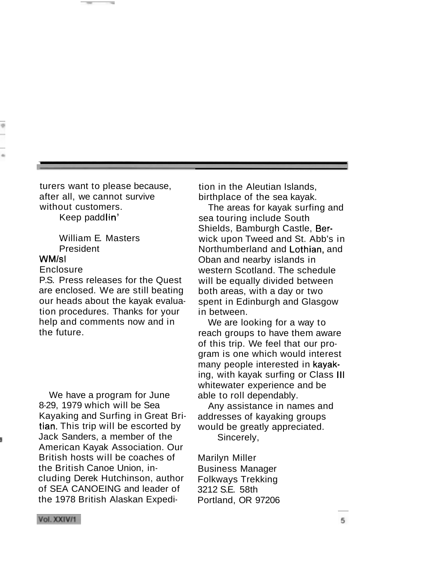turers want to please because, after all, we cannot survive without customers.

Keep paddlin'

William E. Masters President

#### WM/sl

#### Enclosure

P.S. Press releases for the Quest are enclosed. We are still beating our heads about the kayak evaluation procedures. Thanks for your help and comments now and in the future.

We have a program for June 8-29, 1979 which will be Sea Kayaking and Surfing in Great Britian. This trip will be escorted by Jack Sanders, a member of the American Kayak Association. Our British hosts will be coaches of the British Canoe Union, including Derek Hutchinson, author of SEA CANOEING and leader of the 1978 British Alaskan Expedi-

tion in the Aleutian Islands, birthplace of the sea kayak.

The areas for kayak surfing and sea touring include South Shields, Bamburgh Castle, Berwick upon Tweed and St. Abb's in Northumberland and Lothian, and Oban and nearby islands in western Scotland. The schedule will be equally divided between both areas, with a day or two spent in Edinburgh and Glasgow in between.

We are looking for a way to reach groups to have them aware of this trip. We feel that our program is one which would interest many people interested in kayaking, with kayak surfing or Class Ill whitewater experience and be able to roll dependably.

Any assistance in names and addresses of kayaking groups would be greatly appreciated. Sincerely,

Marilyn Miller Business Manager Folkways Trekking 3212 S.E. 58th Portland, OR 97206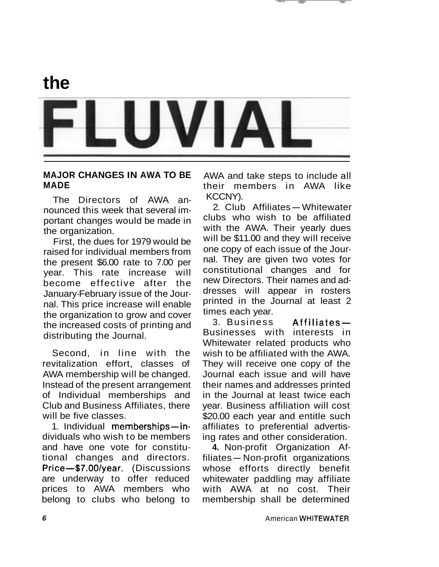



#### **MAJOR CHANGES IN AWA TO BE MADE**

The Directors of AWA announced this week that several important changes would be made in the organization.

First, the dues for 1979 would be raised for individual members from the present \$6.00 rate to 7.00 per year. This rate increase will become effective after the January-February issue of the Journal. This price increase will enable the organization to grow and cover the increased costs of printing and distributing the Journal.

Second, in line with the revitalization effort, classes of AWA membership will be changed. Instead of the present arrangement of Individual memberships and Club and Business Affiliates, there will be five classes.

1. Individual memberships-individuals who wish to be members and have one vote for constitutional changes and directors. Price-\$7.00/year. (Discussions are underway to offer reduced prices to AWA members who belong to clubs who belong to

AWA and take steps to include all their members in AWA like KCCNY).

2. Club Affiliates-Whitewater clubs who wish to be affiliated with the AWA. Their yearly dues will be \$11.00 and they will receive one copy of each issue of the Journal. They are given two votes for constitutional changes and for new Directors. Their names and addresses will appear in rosters printed in the Journal at least 2 times each year.

3. Business Affiliates-Businesses with interests in Whitewater related products who wish to be affiliated with the AWA. They will receive one copy of the Journal each issue and will have their names and addresses printed in the Journal at least twice each year. Business affiliation will cost \$20.00 each year and entitle such affiliates to preferential advertising rates and other consideration.

**4.** Non-profit Organization Af-Ing rates and other consideration.<br>4. Non-profit Organization Af-<br>filiates – Non-profit organizations whose efforts directly benefit whitewater paddling may affiliate with AWA at no cost. Their membership shall be determined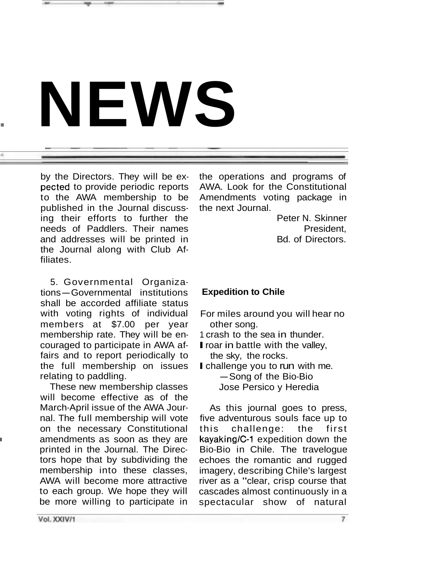# **<sup>d</sup>NEWS**

pected to provide periodic reports AWA. Look for the Constitutional to the AWA membership to be Amendments voting package in published in the Journal discuss- the next Journal. ing their efforts to further the **Peter N. Skinner** needs of Paddlers. Their names example and the President, and addresses will be printed in Bd. of Directors. the Journal along with Club Affiliates.

5. Governmental Organiza-5. Governmental Organiza-<br>tions-Governmental institutions shall be accorded affiliate status with voting rights of individual members at \$7.00 per year membership rate. They will be encouraged to participate in AWA affairs and to report periodically to the full membership on issues relating to paddling.

These new membership classes will become effective as of the March-April issue of the AWA Journal. The full membership will vote on the necessary Constitutional amendments as soon as they are printed in the Journal. The Directors hope that by subdividing the membership into these classes, AWA will become more attractive to each group. We hope they will be more willing to participate in

by the Directors. They will be ex- the operations and programs of Amendments voting package in

#### **Expedition to Chile**

- For miles around you will hear no other song.
- 1 crash to the sea in thunder.
- **I** roar in battle with the valley, the sky, the rocks.
- I challenge you to run with me. -Song of the Bio-Bio Jose Persico y Heredia

As this journal goes to press, five adventurous souls face up to this challenge: the first kayaking/C-1 expedition down the Bio-Bio in Chile. The travelogue echoes the romantic and rugged imagery, describing Chile's largest river as a "clear, crisp course that cascades almost continuously in a spectacular show of natural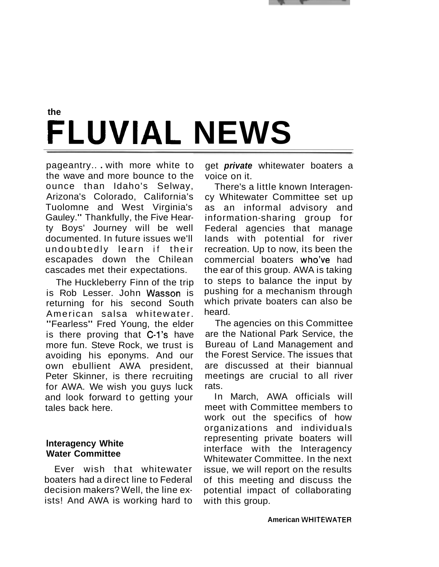

### **the FLUVIAL NEWS**

pageantry.. . with more white to the wave and more bounce to the ounce than Idaho's Selway, Arizona's Colorado, California's Tuolomne and West Virginia's Gauley." Thankfully, the Five Hearty Boys' Journey will be well documented. In future issues we'll undoubtedly learn if their escapades down the Chilean cascades met their expectations.

The Huckleberry Finn of the trip is Rob Lesser. John Wasson is returning for his second South American salsa whitewater. "Fearless" Fred Young, the elder is there proving that C-1's have more fun. Steve Rock, we trust is avoiding his eponyms. And our own ebullient AWA president, Peter Skinner, is there recruiting for AWA. We wish you guys luck and look forward to getting your tales back here.

#### **lnteragency White Water Committee**

Ever wish that whitewater boaters had a direct line to Federal decision makers? Well, the line exists! And AWA is working hard to

get **private** whitewater boaters a voice on it.

There's a little known Interagency Whitewater Committee set up as an informal advisory and information-sharing group for Federal agencies that manage lands with potential for river recreation. Up to now, its been the commercial boaters who've had the ear of this group. AWA is taking to steps to balance the input by pushing for a mechanism through which private boaters can also be heard.

The agencies on this Committee are the National Park Service, the Bureau of Land Management and the Forest Service. The issues that are discussed at their biannual meetings are crucial to all river rats.

In March, AWA officials will meet with Committee members to work out the specifics of how organizations and individuals representing private boaters will interface with the lnteragency Whitewater Committee. In the next issue, we will report on the results of this meeting and discuss the potential impact of collaborating with this group.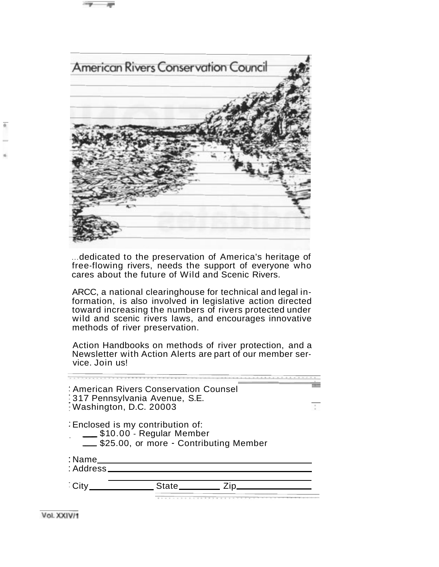

... dedicated to the preservation of America's heritage of free-flowing rivers, needs the support of everyone who cares about the future of Wild and Scenic Rivers.

ARCC, a national clearinghouse for technical and legal information, is also involved in legislative action directed toward increasing the numbers of rivers protected under wild and scenic rivers laws, and encourages innovative methods of river preservation.

Action Handbooks on methods of river protection, and a Newsletter with Action Alerts are part of our member service. Join us!

|                     | : American Rivers Conservation Counsel<br>317 Pennsylvania Avenue, S.E.<br>Washington, D.C. 20003     |  |
|---------------------|-------------------------------------------------------------------------------------------------------|--|
|                     | Enclosed is my contribution of:<br>\$10.00 - Regular Member<br>\$25.00, or more - Contributing Member |  |
| : Name<br>: Address |                                                                                                       |  |
|                     | State                                                                                                 |  |

Vol. XXIV/1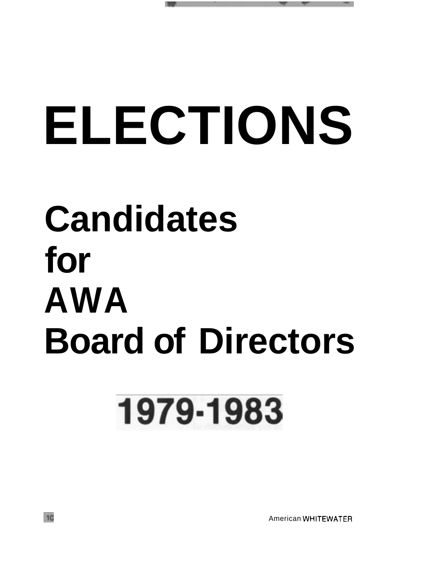# **ELECTIONS**

## **Candidates for AWA Board of Directors**

## 1979-1983

American WHITEWATER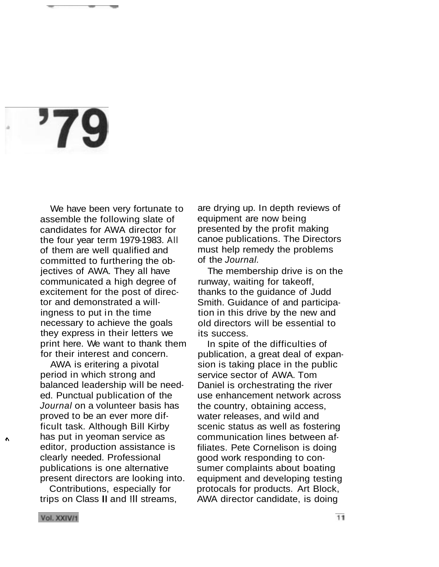## 79

We have been very fortunate to assemble the following slate of candidates for AWA director for the four year term 1979-1983. All of them are well qualified and committed to furthering the objectives of AWA. They all have communicated a high degree of excitement for the post of director and demonstrated a willingness to put in the time necessary to achieve the goals they express in their letters we print here. We want to thank them for their interest and concern.

AWA is eritering a pivotal period in which strong and balanced leadership will be needed. Punctual publication of the Journal on a volunteer basis has proved to be an ever more difficult task. Although Bill Kirby **t,** has put in yeoman service as editor, production assistance is clearly needed. Professional publications is one alternative present directors are looking into.

Contributions, especially for trips on Class II and Ill streams, are drying up. In depth reviews of equipment are now being presented by the profit making canoe publications. The Directors must help remedy the problems of the Journal.

The membership drive is on the runway, waiting for takeoff, thanks to the guidance of Judd Smith. Guidance of and participation in this drive by the new and old directors will be essential to its success.

In spite of the difficulties of publication, a great deal of expansion is taking place in the public service sector of AWA. Tom Daniel is orchestrating the river use enhancement network across the country, obtaining access, water releases, and wild and scenic status as well as fostering communication lines between affiliates. Pete Cornelison is doing good work responding to consumer complaints about boating equipment and developing testing protocals for products. Art Block, AWA director candidate, is doing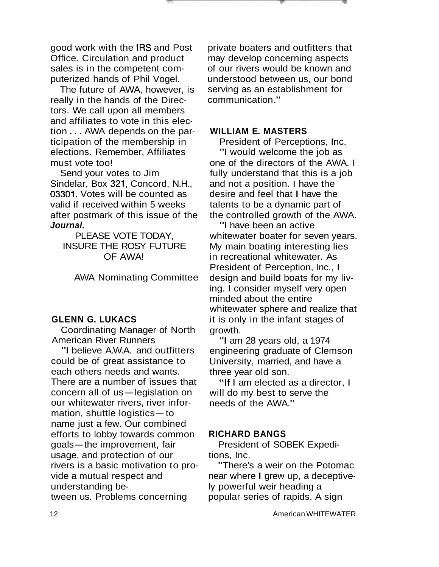good work with the IRS and Post Office. Circulation and product sales is in the competent computerized hands of Phil Vogel.

The future of AWA, however, is really in the hands of the Directors. We call upon all members and affiliates to vote in this election . . . AWA depends on the participation of the membership in elections. Remember, Affiliates must vote too!

Send your votes to Jim Sindelar, Box 321, Concord, N.H., 03301. Votes will be counted as valid if received within 5 weeks after postmark of this issue of the **Journal.** 

PLEASE VOTE TODAY, INSURE THE ROSY FUTURE OF AWA!

AWA Nominating Committee

#### **GLENN G. LUKACS**

Coordinating Manager of North American River Runners

"I believe A.W.A. and outfitters could be of great assistance to each others needs and wants. There are a number of issues that concern all of us-legislation on our whitewater rivers, river inforconcern an or us—regisiation<br>our whitewater rivers, river in<br>mation, shuttle logistics—to name just a few. Our combined efforts to lobby towards common goals-the improvement, fair usage, and protection of our rivers is a basic motivation to provide a mutual respect and understanding between us. Problems concerning

private boaters and outfitters that may develop concerning aspects of our rivers would be known and understood between us, our bond serving as an establishment for communication."

#### **WILLIAM E. MASTERS**

President of Perceptions, Inc. "I would welcome the job as one of the directors of the AWA. I fully understand that this is a job and not a position. I have the desire and feel that I have the talents to be a dynamic part of the controlled growth of the AWA.

"I have been an active whitewater boater for seven years. My main boating interesting lies in recreational whitewater. As President of Perception, Inc., I design and build boats for my living. I consider myself very open minded about the entire whitewater sphere and realize that it is only in the infant stages of growth.

"I am 28 years old, a 1974 engineering graduate of Clemson University, married, and have a three year old son.

"If I am elected as a director, I will do my best to serve the needs of the AWA."

#### **RICHARD BANGS**

President of SOBEK Expeditions, Inc.

"There's a weir on the Potomac near where I grew up, a deceptively powerful weir heading a popular series of rapids. A sign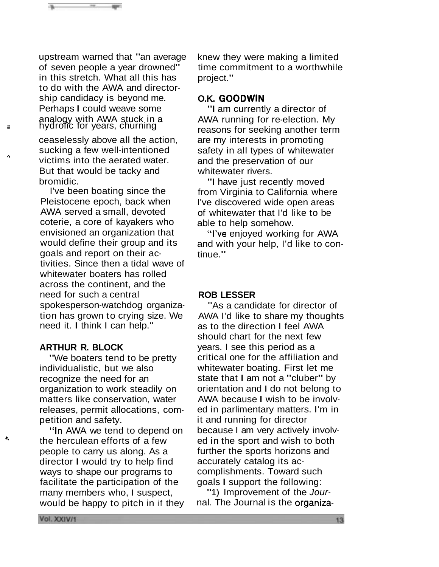upstream warned that "an average of seven people a year drowned" in this stretch. What all this has to do with the AWA and directorship candidacy is beyond me. Perhaps I could weave some analogy with AWA stuck in a **Figure 19 July 1999** 

ceaselessly above all the action, sucking a few well-intentioned<br> **n**victims into the aerated water. But that would be tacky and bromidic.

> I've been boating since the Pleistocene epoch, back when AWA served a small, devoted coterie, a core of kayakers who envisioned an organization that would define their group and its goals and report on their activities. Since then a tidal wave of whitewater boaters has rolled across the continent, and the need for such a central spokesperson-watchdog organization has grown to crying size. We need it. I think I can help."

#### **ARTHUR R. BLOCK**

"We boaters tend to be pretty individualistic, but we also recognize the need for an organization to work steadily on matters like conservation, water releases, permit allocations, competition and safety.

"In AWA we tend to depend on <sup>*h*</sup> the herculean efforts of a few people to carry us along. As a director I would try to help find ways to shape our programs to facilitate the participation of the many members who, I suspect, would be happy to pitch in if they knew they were making a limited time commitment to a worthwhile project."

#### **O.K. GOODWIN**

"I am currently a director of AWA running for re-election. My reasons for seeking another term are my interests in promoting safety in all types of whitewater and the preservation of our whitewater rivers.

"I have just recently moved from Virginia to California where I've discovered wide open areas of whitewater that I'd like to be able to help somehow.

"I've enjoyed working for AWA and with your help, I'd like to continue."

#### **ROB LESSER**

"As a candidate for director of AWA I'd like to share my thoughts as to the direction I feel AWA should chart for the next few years. I see this period as a critical one for the affiliation and whitewater boating. First let me state that I am not a "cluber" by orientation and I do not belong to AWA because I wish to be involved in parlimentary matters. I'm in it and running for director because I am very actively involved in the sport and wish to both further the sports horizons and accurately catalog its accomplishments. Toward such goals I support the following:

"1) Improvement of the Journal. The Journal is the organiza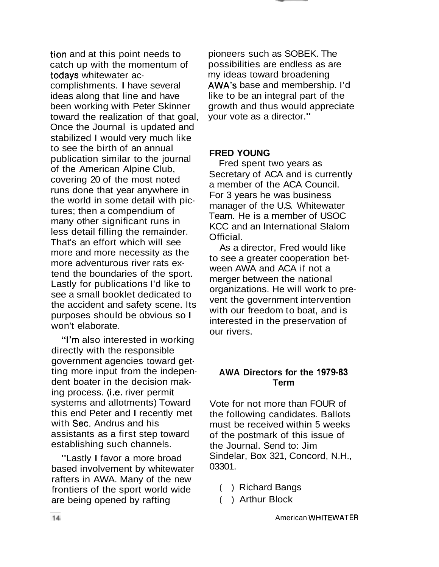tion and at this point needs to catch up with the momentum of todays whitewater accomplishments. I have several ideas along that line and have been working with Peter Skinner toward the realization of that goal, Once the Journal is updated and stabilized I would very much like to see the birth of an annual publication similar to the journal of the American Alpine Club, covering 20 of the most noted runs done that year anywhere in the world in some detail with pictures; then a compendium of many other significant runs in less detail filling the remainder. That's an effort which will see more and more necessity as the more adventurous river rats extend the boundaries of the sport. Lastly for publications I'd like to see a small booklet dedicated to the accident and safety scene. Its purposes should be obvious so I won't elaborate.

"I'm also interested in working directly with the responsible government agencies toward getting more input from the independent boater in the decision making process. (i.e. river permit systems and allotments) Toward this end Peter and I recently met with Sec. Andrus and his assistants as a first step toward establishing such channels.

"Lastly I favor a more broad based involvement by whitewater rafters in AWA. Many of the new frontiers of the sport world wide are being opened by rafting

pioneers such as SOBEK. The possibilities are endless as are my ideas toward broadening AWA's base and membership. I'd like to be an integral part of the growth and thus would appreciate your vote as a director."

#### **FRED YOUNG**

Fred spent two years as Secretary of ACA and is currently a member of the ACA Council. For 3 years he was business manager of the U.S. Whitewater Team. He is a member of USOC KCC and an International Slalom Official.

As a director, Fred would like to see a greater cooperation between AWA and ACA if not a merger between the national organizations. He will work to prevent the government intervention with our freedom to boat, and is interested in the preservation of our rivers.

#### **AWA Directors for the 1979.83 Term**

Vote for not more than FOUR of the following candidates. Ballots must be received within 5 weeks of the postmark of this issue of the Journal. Send to: Jim Sindelar, Box 321, Concord, N.H., 03301.

- ( ) Richard Bangs
- ( ) Arthur Block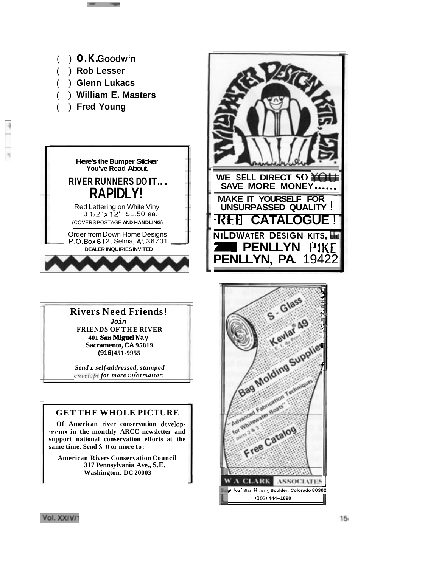

Vol. XXIV/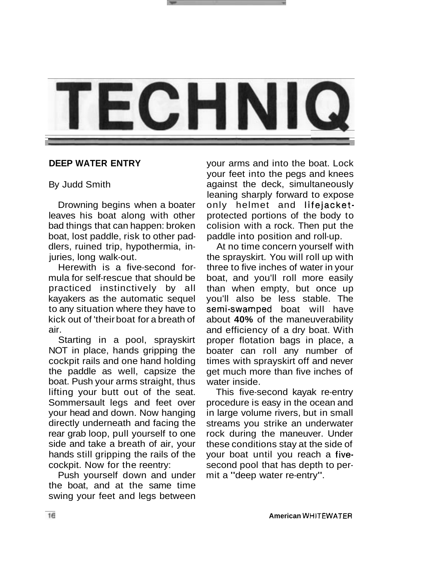

#### **DEEP WATER ENTRY**

#### By Judd Smith

Drowning begins when a boater leaves his boat along with other bad things that can happen: broken boat, lost paddle, risk to other paddlers, ruined trip, hypothermia, injuries, long walk-out.

Herewith is a five-second formula for self-rescue that should be practiced instinctively by all kayakers as the automatic sequel to any situation where they have to kick out of 'their boat for a breath of air.

Starting in a pool, sprayskirt NOT in place, hands gripping the cockpit rails and one hand holding the paddle as well, capsize the boat. Push your arms straight, thus lifting your butt out of the seat. Sommersault legs and feet over your head and down. Now hanging directly underneath and facing the rear grab loop, pull yourself to one side and take a breath of air, your hands still gripping the rails of the cockpit. Now for the reentry:

Push yourself down and under the boat, and at the same time swing your feet and legs between

your arms and into the boat. Lock your feet into the pegs and knees against the deck, simultaneously leaning sharply forward to expose only helmet and lifejacketprotected portions of the body to colision with a rock. Then put the paddle into position and roll-up.

At no time concern yourself with the sprayskirt. You will roll up with three to five inches of water in your boat, and you'll roll more easily than when empty, but once up you'll also be less stable. The semi-swamped boat will have about **40%** of the maneuverability and efficiency of a dry boat. With proper flotation bags in place, a boater can roll any number of times with sprayskirt off and never get much more than five inches of water inside.

This five-second kayak re-entry procedure is easy in the ocean and in large volume rivers, but in small streams you strike an underwater rock during the maneuver. Under these conditions stay at the side of your boat until you reach a fivesecond pool that has depth to permit a "deep water re-entry".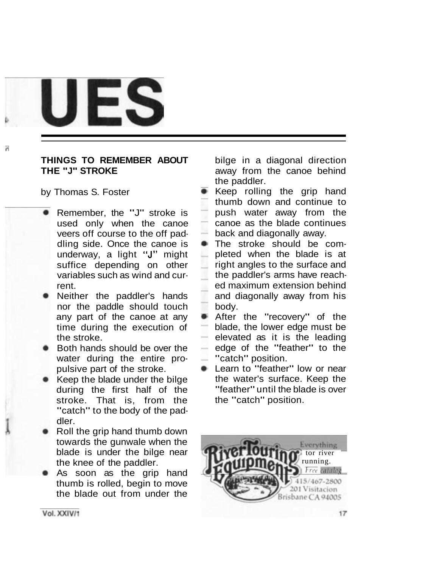

#### **THINGS TO REMEMBER ABOUT THE "J" STROKE**

by Thomas S. Foster

d

- **Remember, the "J" stroke is** used only when the canoe veers off course to the off paddling side. Once the canoe is underway, a light **"J"** might suffice depending on other variables such as wind and current.
- Neither the paddler's hands nor the paddle should touch any part of the canoe at any time during the execution of the stroke.
- Both hands should be over the water during the entire propulsive part of the stroke.
- Keep the blade under the bilge during the first half of the stroke. That is, from the "catch" to the body of the paddler.
- Roll the grip hand thumb down towards the gunwale when the blade is under the bilge near the knee of the paddler.
- **As soon as the grip hand** thumb is rolled, begin to move the blade out from under the

bilge in a diagonal direction away from the canoe behind the paddler.

- **Keep rolling the grip hand** thumb down and continue to push water away from the canoe as the blade continues back and diagonally away.
- **The stroke should be com**pleted when the blade is at right angles to the surface and the paddler's arms have reached maximum extension behind and diagonally away from his body.
- After the "recovery" of the ÷ blade, the lower edge must be elevated as it is the leading edge of the "feather" to the  $\blacksquare$  "catch" position.
- **E.** Learn to "feather" low or near the water's surface. Keep the "feather" until the blade is over the "catch" position.

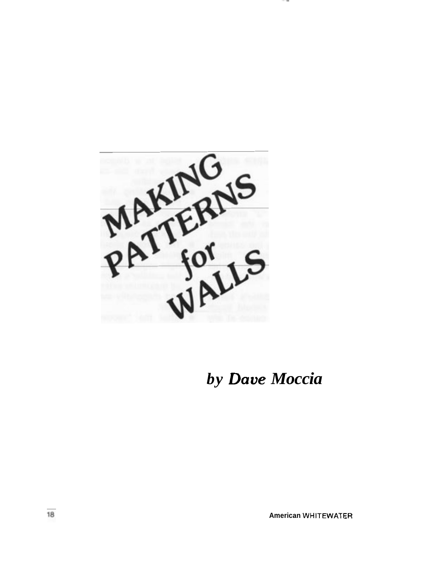

*by Dave Moccia* 

---

**American WHITEWATER**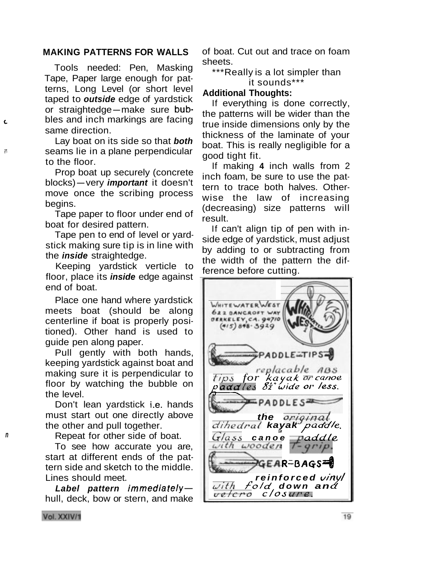#### **MAKING PATTERNS FOR WALLS**

Tools needed: Pen, Masking Tape, Paper large enough for patterns, Long Level (or short level taped to **outside** edge of yardstick or straightedge-make sure bub-**Lbles and inch markings are facing** same direction.

Lay boat on its side so that **both**  *I* seams lie in a plane perpendicular to the floor.

> Prop boat up securely (concrete blocks)-very **important** it doesn't move once the scribing process begins.

> Tape paper to floor under end of boat for desired pattern.

> Tape pen to end of level or yardstick making sure tip is in line with the **inside** straightedge.

> Keeping yardstick verticle to floor, place its **inside** edge against end of boat.

> Place one hand where yardstick meets boat (should be along centerline if boat is properly positioned). Other hand is used to guide pen along paper.

> Pull gently with both hands, keeping yardstick against boat and making sure it is perpendicular to floor by watching the bubble on the level.

> Don't lean yardstick i.e. hands must start out one directly above the other and pull together.

**n** Repeat for other side of boat.

To see how accurate you are, start at different ends of the pattern side and sketch to the middle. Lines should meet.

Label pattern *immediately*hull, deck, bow or stern, and make of boat. Cut out and trace on foam sheets.

\*\*\*Really is a lot simpler than it sounds\*\*\*

#### **Additional Thoughts:**

If everything is done correctly, the patterns will be wider than the true inside dimensions only by the thickness of the laminate of your boat. This is really negligible for a good tight fit.

If making **4** inch walls from 2 inch foam, be sure to use the pattern to trace both halves. Otherwise the law of increasing (decreasing) size patterns will result.

If can't align tip of pen with inside edge of yardstick, must adjust by adding to or subtracting from the width of the pattern the difference before cutting.

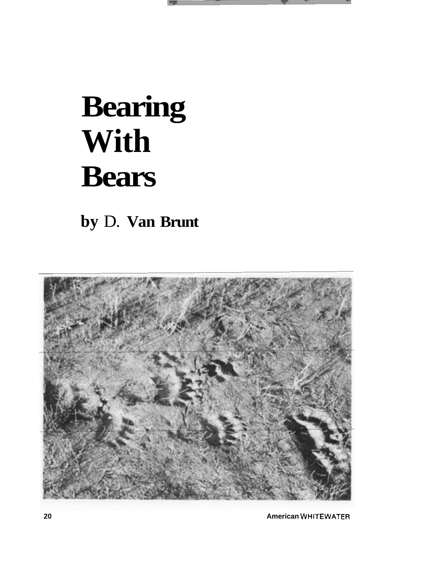

## **Bearing With Bears**

**by** D. **Van Brunt** 



**20 American WHITEWATER**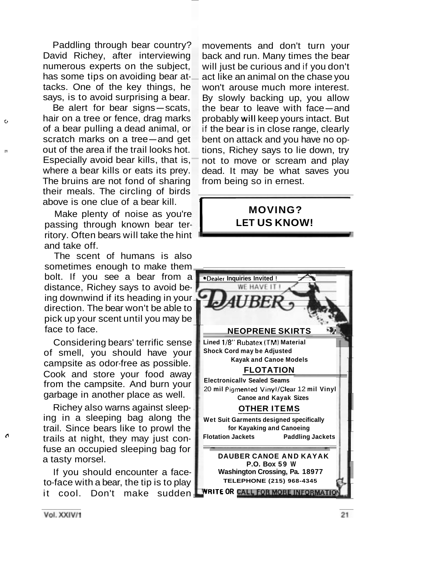Paddling through bear country? David Richey, after interviewing numerous experts on the subject, has some tips on avoiding bear attacks. One of the key things, he says, is to avoid surprising a bear. SKS. One of the key things, he<br>ys, is to avoid surprising a bear.<br>Be alert for bear signs—scats,

**b**<sub>c</sub> hair on a tree or fence, drag marks of a bear pulling a dead animal, or nair on a tree or fence, drag marks<br>of a bear pulling a dead animal, or<br>scratch marks on a tree—and get **n nout of the area if the trail looks hot.** Especially avoid bear kills, that is, where a bear kills or eats its prey. The bruins are not fond of sharing their meals. The circling of birds above is one clue of a bear kill.

> Make plenty of noise as you're passing through known bear territory. Often bears will take the hint and take off.

> The scent of humans is also sometimes enough to make them bolt. If you see a bear from a distance, Richey says to avoid being downwind if its heading in your direction. The bear won't be able to pick up your scent until you may be face to face.

Considering bears' terrific sense of smell, you should have your campsite as odor-free as possible. Cook and store your food away from the campsite. And burn your garbage in another place as well.

Richey also warns against sleeping in a sleeping bag along the trail. Since bears like to prowl the **cr** trails at night, they may just confuse an occupied sleeping bag for a tasty morsel.

> If you should encounter a faceto-face with a bear, the tip is to play it cool. Don't make sudden

movements and don't turn your back and run. Many times the bear will just be curious and if you don't act like an animal on the chase you won't arouse much more interest. By slowly backing up, you allow the bear to leave with face-and probably will keep yours intact. But if the bear is in close range, clearly bent on attack and you have no options, Richey says to lie down, try not to move or scream and play dead. It may be what saves you from being so in ernest. If the bear is in close ran<br>bent on attack and you h<br>tions, Richey says to lie<br>not to move or scream<br>dead. It may be what<br>from being so in ernest.<br>**MOVING?**<br>LET US KNOW

### **LET US KNOW!**



Vol. XXIV/1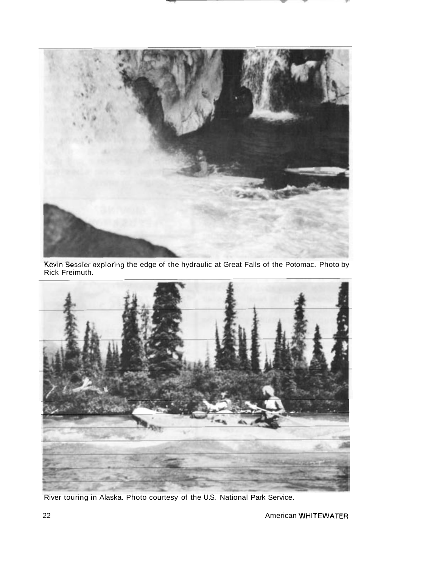

Kevin Sessler exploring the edge of the hydraulic at Great Falls of the Potomac. Photo by Rick Freimuth.



River touring in Alaska. Photo courtesy of the U.S. National Park Service.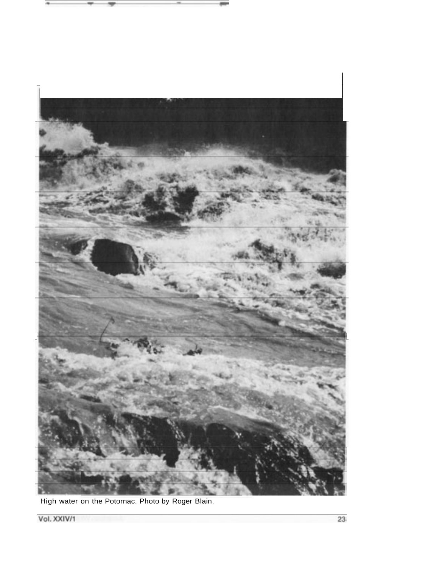



High water on the Potornac. Photo by Roger Blain.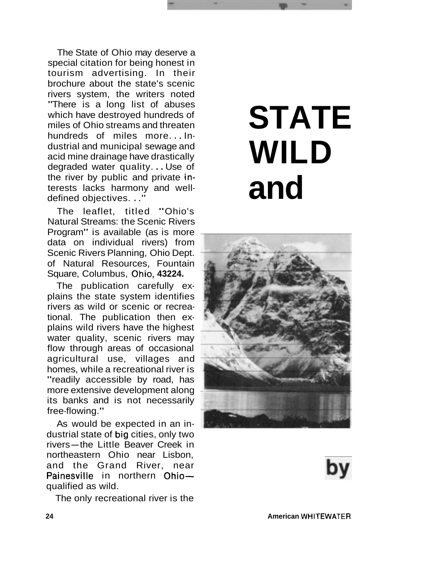The State of Ohio may deserve a special citation for being honest in tourism advertising. In their brochure about the state's scenic rivers system, the writers noted "There is a long list of abuses which have destroyed hundreds of miles of Ohio streams and threaten hundreds of miles more... Industrial and municipal sewage and acid mine drainage have drastically degraded water quality. . . Use of the river by public and private interests lacks harmony and welldefined objectives. . .''

The leaflet, titled "Ohio's Natural Streams: the Scenic Rivers Program" is available (as is more data on individual rivers) from Scenic Rivers Planning, Ohio Dept. of Natural Resources, Fountain Square, Columbus, Ohio, 43224.

The publication carefully explains the state system identifies rivers as wild or scenic or recreational. The publication then explains wild rivers have the highest water quality, scenic rivers may flow through areas of occasional agricultural use, villages and homes, while a recreational river is "readily accessible by road, has more extensive development along its banks and is not necessarily free-flowing."

As would be expected in an industrial state of big cities, only two As would be expected in an in-<br>dustrial state of big cities, only two<br>rivers—the Little Beaver Creek in northeastern Ohio near Lisbon, and the Grand River, near Painesville in northern Ohioqualified as wild.

The only recreational river is the

## **STATE WILD and**



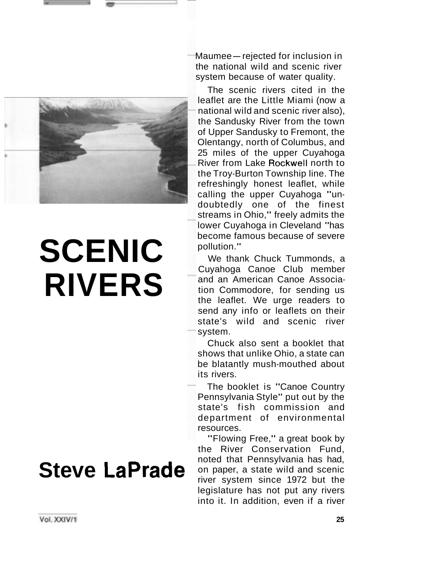

## **SCENIC RIVERS**

### **Steve LaPrade**

Maumee-rejected for inclusion in the national wild and scenic river system because of water quality.

The scenic rivers cited in the leaflet are the Little Miami (now a national wild and scenic river also), the Sandusky River from the town of Upper Sandusky to Fremont, the Olentangy, north of Columbus, and 25 miles of the upper Cuyahoga River from Lake Rockwell north to the Troy-Burton Township line. The refreshingly honest leaflet, while calling the upper Cuyahoga "undoubtedly one of the finest streams in Ohio," freely admits the lower Cuyahoga in Cleveland "has become famous because of severe pollution."

We thank Chuck Tummonds, a Cuyahoga Canoe Club member and an American Canoe Association Commodore, for sending us the leaflet. We urge readers to send any info or leaflets on their state's wild and scenic river system.

Chuck also sent a booklet that shows that unlike Ohio, a state can be blatantly mush-mouthed about its rivers.

The booklet is "Canoe Country Pennsylvania Style" put out by the state's fish commission and department of environmental resources.

"Flowing Free," a great book by the River Conservation Fund, noted that Pennsylvania has had, on paper, a state wild and scenic river system since 1972 but the legislature has not put any rivers into it. In addition, even if a river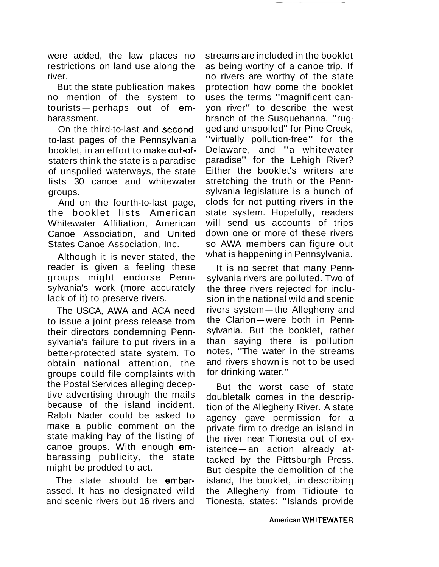were added, the law places no restrictions on land use along the river.

But the state publication makes no mention of the system to But the state publication makes<br>no mention of the system to<br>tourists—perhaps out of embarassment.

On the third-to-last and secondto-last pages of the Pennsylvania booklet, in an effort to make out-ofstaters think the state is a paradise of unspoiled waterways, the state lists 30 canoe and whitewater groups.

And on the fourth-to-last page, the booklet lists American Whitewater Affiliation, American Canoe Association, and United States Canoe Association, Inc.

Although it is never stated, the reader is given a feeling these groups might endorse Pennsylvania's work (more accurately lack of it) to preserve rivers.

The USCA, AWA and ACA need to issue a joint press release from their directors condemning Pennsylvania's failure to put rivers in a better-protected state system. To obtain national attention, the groups could file complaints with the Postal Services alleging deceptive advertising through the mails because of the island incident. Ralph Nader could be asked to make a public comment on the state making hay of the listing of canoe groups. With enough embarassing publicity, the state might be prodded to act.

The state should be embarassed. It has no designated wild and scenic rivers but 16 rivers and

streams are included in the booklet as being worthy of a canoe trip. If no rivers are worthy of the state protection how come the booklet uses the terms "magnificent canyon river" to describe the west branch of the Susquehanna, "rugged and unspoiled'' for Pine Creek, "virtually pollution-free" for the Delaware, and "a whitewater paradise" for the Lehigh River? Either the booklet's writers are stretching the truth or the Pennsylvania legislature is a bunch of clods for not putting rivers in the state system. Hopefully, readers will send us accounts of trips down one or more of these rivers so AWA members can figure out what is happening in Pennsylvania.

It is no secret that many Pennsylvania rivers are polluted. Two of the three rivers rejected for inclusion in the national wild and scenic the three fivers rejected for inclu-<br>sion in the national wild and scenic<br>rivers system—the Allegheny and sion in the national wild and scenic<br>rivers system—the Allegheny and<br>the Clarion—were both in Pennsylvania. But the booklet, rather than saying there is pollution notes, "The water in the streams and rivers shown is not to be used for drinking water."

But the worst case of state doubletalk comes in the description of the Allegheny River. A state agency gave permission for a private firm to dredge an island in the river near Tionesta out of ex $istence - an action already at$ tacked by the Pittsburgh Press. But despite the demolition of the island, the booklet, .in describing the Allegheny from Tidioute to Tionesta, states: "Islands provide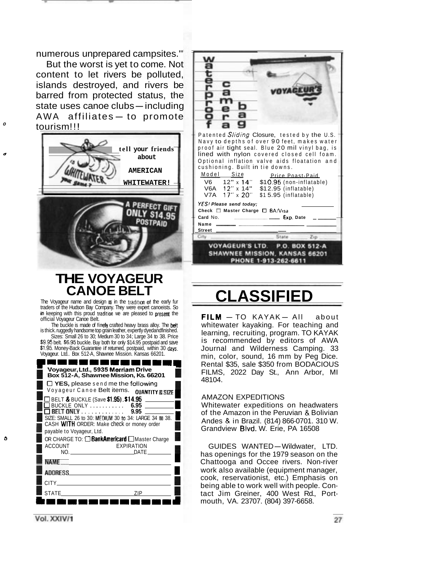numerous unprepared campsites."

But the worst is yet to come. Not content to let rivers be polluted, islands destroyed, and rivers be barred from protected status, the istatius destroyed, and fivers be<br>barred from protected status, the<br>state uses canoe clubs—including bancd noth protected states, the<br>state uses canoe clubs—including<br>AWA affiliates— to promote atriliates — to promote<br><sup>o</sup> tourism!!!



#### **THE VOYAGEUR CANOE BELT**

The Voyageur name and design  $\equiv$  in the tradition of the early fur traders of the Hudson Bay Company. They were expert canoeists. So in keeping with this proud tradition we are pleased to presmt the official Voyageur Canoe Belt.

The buckle is made of finely crafted heavy brass alloy. The belt is thick. ruggedly handsome top grain leather, expertly dyedandfinished. Sizes: Small 26 to 30; Medium 30 to 34; Large 34 to 38. Price **\$9.95** belt. 86.95 buckle. Buy both for only \$14.95 postpaid and save

Voyageur. Ltd.. Box 512-A, Shawnee Mission. Kansas 66201.



#### **CLASSIFIED**

 $FILM - TO KAYAK - All about$ whitewater kayaking. For teaching and learning, recruiting, program. TO KAYAK is recommended by editors of AWA Journal and Wilderness Camping. 33 min, color, sound, 16 mm by Peg Dice. Rental \$35, sale \$350 from BODACIOUS FILMS, 2022 Day St., Ann Arbor, MI 48104.

#### AMAZON EXPEDITIONS

Whitewater expeditions on headwaters of the Amazon in the Peruvian & Bolivian Andes & in Brazil. (814) 866-0701. 310 W. Grandview Blvd. W. Erie, PA 16508

GUIDES WANTED-Wildwater, LTD. has openings for the 1979 season on the Chattooga and Occee rivers. Non-river work also available (equipment manager, cook, reservationist, etc.) Emphasis on being able to work well with people. Contact Jim Greiner, 400 West Rd., Portmouth, VA. 23707. (804) 397-6658.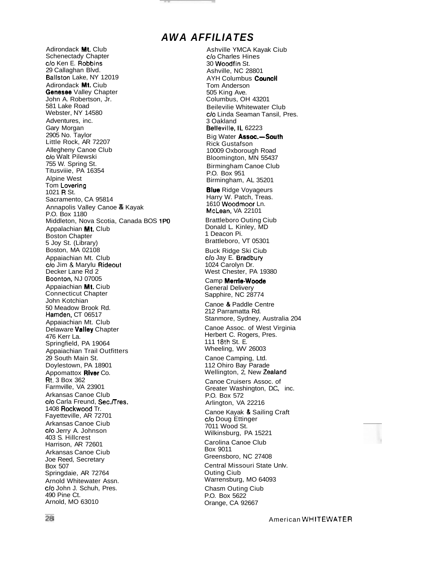#### **A WA AFFILIATES**

Adirondack Mt. Club Schenectady Chapter c/o Ken E. Robbins 29 Callaghan Blvd. Ballston Lake, NY 12019 Adirondack Mt. Ciub Genesee Valley Chapter John A. Robertson, Jr. 581 Lake Road Webster, NY 14580 Adventures, inc. Gary Morgan 2905 No. Taylor Little Rock, AR 72207 Allegheny Canoe Club c/o Walt Pilewski 755 W. Spring St. Titusviiie, PA 16354 Alpine West Tom Lovering 1021 R St. Sacramento, CA 95814 Annapolis Valley Canoe *81* Kayak P.O. Box 1180 Middleton, Nova Scotia, Canada BOS 1PO Appalachian Mt. Club Boston Chapter 5 Joy St. (Library) Boston, MA 02108 Appaiachian Mt. Club c/o Jim & Marylu Rideout Decker Lane Rd 2 Boonton, NJ 07005 Appaiachian Mt. Ciub Connecticut Chapter John Kotchian 50 Meadow Brook Rd. Hamden, CT 06517 Appaiachian Mt. Club Delaware Valley Chapter 476 Kerr La. Springfield, PA 19064 Appaiachian Trail Outfitters 29 South Main St. Doylestown, PA 18901 Appomattox River Co. Rt. 3 Box 362 Farmville, VA 23901 Arkansas Canoe Club c/o Carla Freund, Sec./Tres. 1408 Rockwood Tr. Fayetteville, AR 72701 Arkansas Canoe Ciub c/o Jerry A. Johnson 403 S. Hillcrest Harrison, AR 72601 Arkansas Canoe Ciub Joe Reed, Secretary Box 507 Springdaie, AR 72764 Arnold Whitewater Assn. c/o John J. Schuh, Pres. 490 Pine Ct. Arnold, MO 63010

Ashville YMCA Kayak Ciub c/o Charles Hines 30 Woodfin St. Ashville, NC 28801 **AYH Columbus Council** Tom Anderson 505 King Ave. Columbus, OH 43201 Beilevilie Whitewater Club c/o Linda Seaman Tansil, Pres. 3 Oakland Belleville, IL 62223 Big Water Assoc.-South Rick Gustafson 10009 Oxborough Road Bloomington, MN 55437 Birmingham Canoe Club P.O. Box 951 Birmingham, AL 35201 **Blue** Ridge Voyageurs Harry W. Patch, Treas. 1610 Woodmoor Ln. McLean, VA 22101 Brattleboro Outing Ciub Donald L. Kinley, MD 1 Deacon Pi. Brattleboro, VT 05301 Buck Ridge Ski Ciub c/o Jay E. Bradbury 1024 Carolyn Dr. West Chester, PA 19380 Camp Merrie-Woode General Delivery Sapphire, NC 28774 Canoe & Paddle Centre 212 Parramatta Rd. Stanmore, Sydney, Australia 204 Canoe Assoc. of West Virginia Herbert C. Rogers, Pres. 111 **18th** St. E. Wheeling, WV 26003 Canoe Camping, Ltd. 112 Ohiro Bay Parade Wellington, 2, New Zealand Canoe Cruisers Assoc. of Greater Washington, D.C., inc. P.O. Box 572 Arlington, VA 22216 Canoe Kayak & Sailing Craft c/o Doug Ettinger 7011 Wood St. Wilkinsburg, PA 15221 Carolina Canoe Club Box 9011 Greensboro, NC 27408 Central Missouri State Unlv. Outing Ciub Warrensburg, MO 64093 Chasm Outing Ciub P.O. Box 5622 Orange, CA 92667

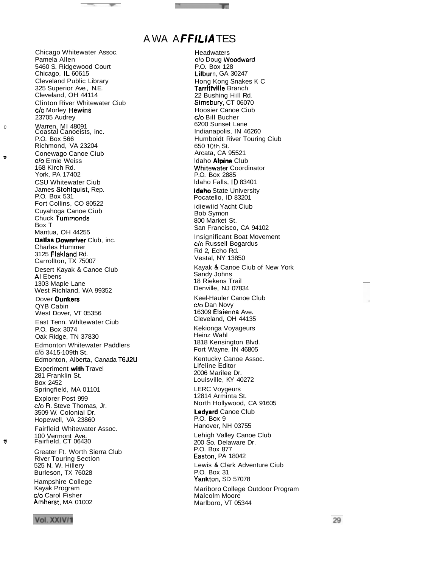#### A WA AFFILIATES

**Headwaters** 

c/o Doug Woodward

Chicago Whitewater Assoc. Pamela Allen 5460 S. Ridgewood Court Chicago, lL 60615 Cleveland Public Library 325 Superior Ave., N.E. Cleveland, OH 44114 Clinton River Whitewater Ciub c/o Morley Hewins 23705 Audrey c Warren, MI 48091 Coastal Canoeists, inc. P.O. Box 566 Richmond, VA 23204 **•** Conewago Canoe Ciub **c/o** Ernie Weiss 168 Kirch Rd. York, PA 17402 CSU Whitewater Ciub James Stohlquist, Rep. P.O. Box 531 Fort Collins, CO 80522 Cuyahoga Canoe Ciub Chuck Tummonds Box T Mantua, OH 44255 Dallas Downriver Club, inc. Charles Hummer 3125 Flakland Rd. Carrollton, TX 75007 Desert Kayak & Canoe Club Al Ebens 1303 Maple Lane West Richland, WA 99352 Dover Dunkers QYB Cabin West Dover, VT 05356 East Tenn. Whltewater Ciub P.O. Box 3074 Oak Ridge, TN 37830 Edmonton Whitewater Paddlers C/O 3415-109th St. Edmonton, Alberta, Canada T6J2U Experiment with Travel 281 Franklin St. Box 2452 Springfield, MA 01101 Explorer Post 999 c/o R. Steve Thomas, Jr. 3509 W. Colonial Dr. Hopewell, VA 23860 Fairfleid Whitewater Assoc. 100 Vermont Ave. **0** Fairfield, CT 06430 Greater Ft. Worth Sierra Club River Touring Section 525 N. W. Hillery Burleson, TX 76028 Hampshire College Kayak Program c/o Carol Fisher Amherst, MA 01002

P.O. Box 128 Lilburn, GA 30247 Hong Kong Snakes K C Tarriffvilie Branch 22 Bushing Hill Rd. Simsbury, CT 06070 Hoosier Canoe Ciub c/o Bill Bucher 6200 Sunset Lane Indianapolis, IN 46260 Humboidt River Touring Ciub 650 10th St. Arcata, CA 95521 Idaho Alpine Club Whitewater Coordinator P.O. Box 2885 ldaho Falls, ID 83401 Idaho State University Pocatello, ID 83201 idiewiid Yacht Ciub Bob Symon 800 Market St. San Francisco, CA 94102 Insignificant Boat Movement c/o Russell Bogardus Rd 2, Echo Rd. Vestal, NY 13850 Kayak & Canoe Ciub of New York Sandy Johns 18 Riekens Trail Denville, NJ 07834 Keel-Hauler Canoe Club c/o Dan Novy 16309 Elsienna Ave. Cleveland, OH 44135 Kekionga Voyageurs Heinz Wahl 1818 Kensington Blvd. Fort Wayne, IN 46805 Kentucky Canoe Assoc. Lifeline Editor 2006 Marilee Dr. Louisville, KY 40272 LERC Voygeurs 12814 Arminta St. North Hollywood, CA 91605 Ledyard Canoe Club P.O. Box 9 Hanover, NH 03755 Lehigh Valley Canoe Club 200 So. Delaware Dr. P.O. Box 877 Easton, PA 18042 Lewis & Clark Adventure Ciub P.O. Box 31 Yankton, SD 57078 Mariboro College Outdoor Program Malcolm Moore Marlboro, VT 05344

Vol. XXIV/1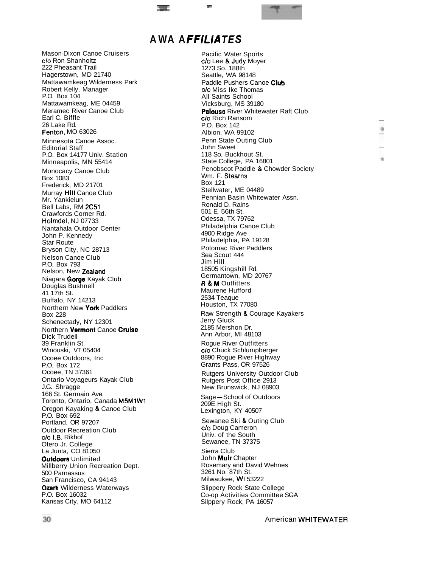#### **A WA A FFILIA TES**

**w <sup>F</sup>**

Mason-Dixon Canoe Cruisers c/o Ron Shanholtz 222 Pheasant Trail Hagerstown, MD 21740 Mattawamkeag Wilderness Park Robert Kelly, Manager P.O. Box 104 Mattawamkeag, ME 04459 Meramec River Canoe Club Earl C. Biffle 26 Lake Rd. Fenton, MO 63026 Minnesota Canoe Assoc. Editorial Staff P.O. Box 14177 Univ. Station Minneapolis, MN 55414 Monocacy Canoe Club Box 1083 Frederick, MD 21701 Murray Hill Canoe Club Mr. Yankielun Bell Labs, RM 2C51 Crawfords Corner Rd. Holmdel, NJ 07733 Nantahala Outdoor Center John P. Kennedy Star Route Bryson City, NC 28713 Nelson Canoe Club P.O. Box 793 Nelson, New Zealand Niagara Gorge Kayak Club Douglas Bushnell 41 17th St. Buffalo, NY 14213 Northern New York Paddlers Box 228 Schenectady, NY 12301 Northern Vermont Canoe Cruise Dick Trudell 39 Franklin St. Winouski, VT 05404 Ocoee Outdoors, Inc P.O. Box 172 Ocoee, TN 37361 Ontario Voyageurs Kayak Club J.G. Shragge 166 St. Germain Ave. Toronto, Ontario, Canada M5M1W1 Oregon Kayaking & Canoe Club P.O. Box 692 Portland, OR 97207 Outdoor Recreation Club c/o I.B. Rikhof Otero Jr. College La Junta, CO 81050 **Outdoors Unlimited** Millberry Union Recreation Dept. 500 Parnassus San Francisco, CA 94143 **Ozark Wilderness Waterways** P.O. Box 16032 Kansas City, MO 64112

Pacific Water Sports c/o Lee & Judy Moyer 1273 So. 188th Seattle, WA 98148 Paddle Pushers Canoe Club c/o Miss Ike Thomas All Saints School Vicksburg, MS 39180 Palouse River Whitewater Raft Club c/o Rich Ransom P.O. Box 142 Albion, WA 99102 Penn State Outing Club John Sweet 118 So. Buckhout St. State College, PA 16801 Penobscot Paddle & Chowder Society Wm. F. Stearns Box 121 Stellwater, ME 04489 Pennian Basin Whitewater Assn. Ronald D. Rains 501 E. 56th St. Odessa, TX 79762 Philadelphia Canoe Club 4900 Ridge Ave Philadelphia, PA 19128 Potomac River Paddlers Sea Scout 444 Jim Hill 18505 Kingshill Rd. Germantown, MD 20767 **R & M Outfitters** Maurene Hufford 2534 Teaque Houston, TX 77080 Raw Strength & Courage Kayakers Jerry Gluck 2185 Mershon Dr. Ann Arbor, MI 48103 Rogue River Outfitters c/o Chuck Schlumpberger 8890 Rogue River Highway Grants Pass, OR 97526 Rutgers University Outdoor Club Rutgers Post Office 2913 New Brunswick, NJ 08903 Sage-School of Outdoors 209E High St. Lexington, KY 40507 Sewanee Ski & Outing Club c/o Doug Cameron Univ. of the South Sewanee, TN 37375 Sierra Club John Muir Chapter Rosemary and David Wehnes 3261 No. 87th St. Milwaukee, WI 53222 Slippery Rock State College Co-op Activities Committee SGA Silppery Rock, PA 16057

 $\alpha$  $\alpha$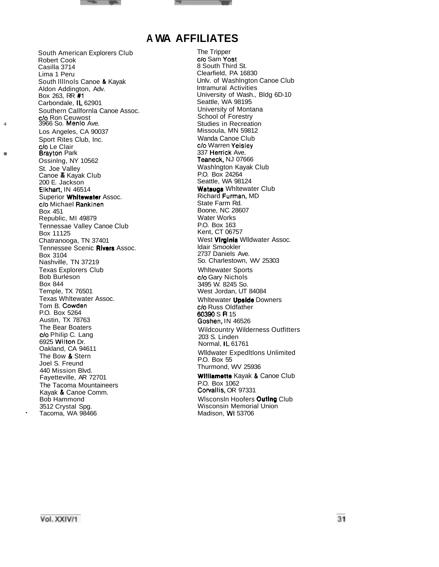#### **A WA AFFILIATES**

South American Explorers Club Robert Cook Casilla 3714 Lima 1 Peru South llllnols Canoe & Kayak Aldon Addington, Adv. Box 263, RR #1 Carbondale, IL 62901 Southern Callfornla Canoe Assoc. c/o Ron Ceuwost 4 3966 So. Menlo Ave. Los Angeles, CA 90037 Sport Rites Club, Inc. **a** c/o Le Clair<br>**Brayton** Park Ossinlng, NY 10562 St. Joe Valley Canoe *8* Kayak Club 200 E. Jackson Elkhart, IN 46514 Superior Whitewater Assoc. c/o Michael Rankinen Box 451 Republic, MI 49879 Tennessae Valley Canoe Club Box 11125 Chatranooga, TN 37401 Tennessee Scenic Rivers Assoc. Box 3104 Nashville, TN 37219 Texas Explorers Club Bob Burleson Box 844 Temple, TX 76501 Texas Whltewater Assoc. Tom B. Cowden P.O. Box 5264 Austin, TX 78763 The Bear Boaters c/o Philip C. Lang 6925 Wilton Dr. Oakland, CA 94611 The Bow & Stern Joel S. Freund 440 Mission Blvd. Fayetteville, AR 72701 The Tacoma Mountaineers Kayak & Canoe Comm. Bob Hammond 3512 Crystal Spg. Tacoma, WA 98466

The Tripper c/o Sam Yost 8 South Third St. Clearfield, PA 16830 Unlv. of Washlngton Canoe Club Intramural Activities University of Wash., Bldg 6D-10 Seattle, WA 98195 University of Montana School of Forestry Studies in Recreation Missoula, MN 59812 Wanda Canoe Club c/o Warren Yeisley 337 Herrick Ave. Teaneck, NJ 07666 Washlngton Kayak Club P.O. Box 24264 Seattle, WA 98124 Watauga Whitewater Club Richard Furman, MD State Farm Rd. Boone, NC 28607 Water Works P.O. Box 163 Kent, CT 06757 West **Virginia** Wildwater Assoc. ldair Smookler 2737 Daniels Ave. So. Charlestown, WV 25303 Whltewater Sports c/o Gary Nichols 3495 W. 8245 So. West Jordan, UT 84084 Whitewater **Upside** Downers c/o Russ Oldfather 60390 S R 15 Goshen, IN 46526 Wildcountry Wilderness Outfitters 203 S. Linden Normal, IL 61761 Wlldwater Expedltlons Unlimited P.O. Box 55 Thurmond, WV 25936 Williamette Kayak & Canoe Club P.O. Box 1062 Cowallis, OR 97331 Wisconsin Hoofers Outing Club Wisconsin Memorial Union Madison, WI 53706